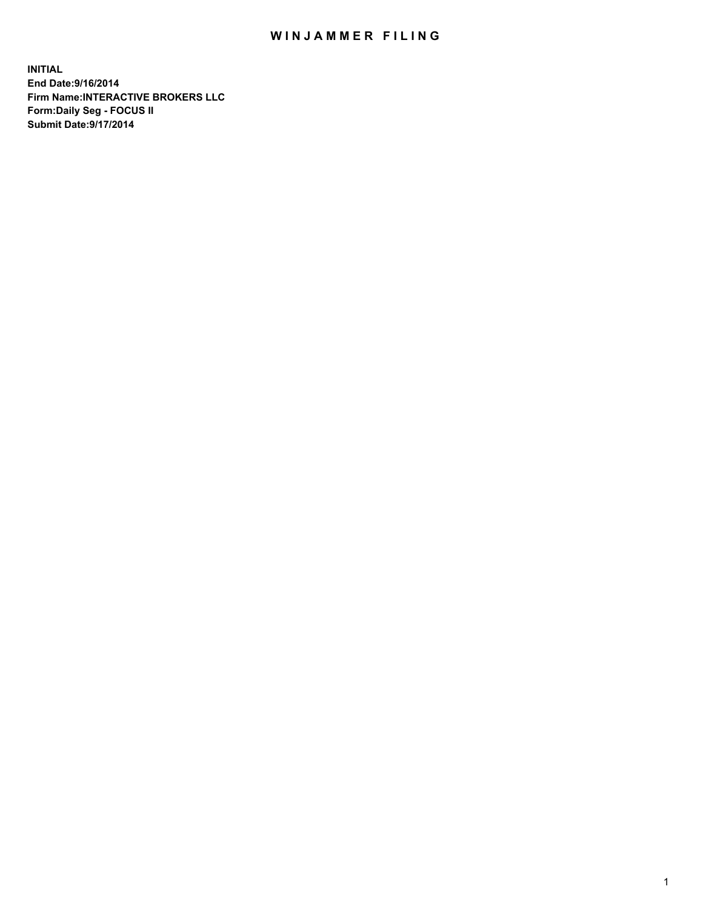## WIN JAMMER FILING

**INITIAL End Date:9/16/2014 Firm Name:INTERACTIVE BROKERS LLC Form:Daily Seg - FOCUS II Submit Date:9/17/2014**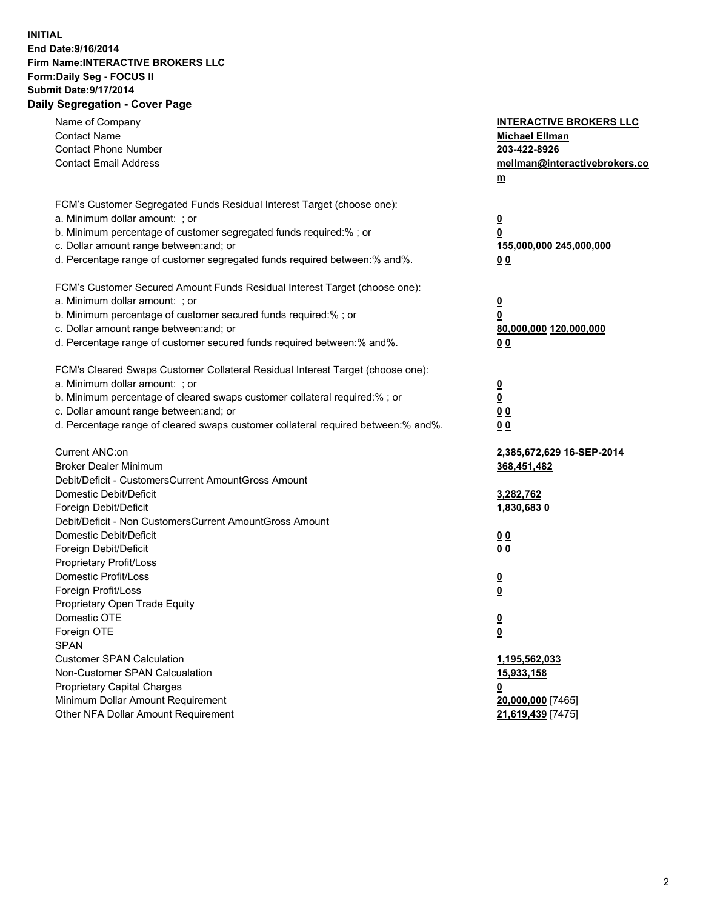## **INITIAL End Date:9/16/2014 Firm Name:INTERACTIVE BROKERS LLC Form:Daily Seg - FOCUS II Submit Date:9/17/2014 Daily Segregation - Cover Page**

| Name of Company<br><b>Contact Name</b>                                            | <b>INTERACTIVE BROKERS LLC</b><br><b>Michael Ellman</b> |
|-----------------------------------------------------------------------------------|---------------------------------------------------------|
| <b>Contact Phone Number</b>                                                       | 203-422-8926                                            |
| <b>Contact Email Address</b>                                                      | mellman@interactivebrokers.co                           |
|                                                                                   | $m$                                                     |
| FCM's Customer Segregated Funds Residual Interest Target (choose one):            |                                                         |
| a. Minimum dollar amount: ; or                                                    | $\overline{\mathbf{0}}$                                 |
| b. Minimum percentage of customer segregated funds required:% ; or                | 0                                                       |
| c. Dollar amount range between: and; or                                           | <u>155,000,000 245,000,000</u>                          |
| d. Percentage range of customer segregated funds required between:% and%.         | 0 <sub>0</sub>                                          |
| FCM's Customer Secured Amount Funds Residual Interest Target (choose one):        |                                                         |
| a. Minimum dollar amount: ; or                                                    | $\overline{\mathbf{0}}$                                 |
| b. Minimum percentage of customer secured funds required:% ; or                   | 0                                                       |
| c. Dollar amount range between: and; or                                           | 80,000,000 120,000,000                                  |
| d. Percentage range of customer secured funds required between:% and%.            | 0 <sub>0</sub>                                          |
|                                                                                   |                                                         |
| FCM's Cleared Swaps Customer Collateral Residual Interest Target (choose one):    |                                                         |
| a. Minimum dollar amount: ; or                                                    | $\frac{0}{0}$                                           |
| b. Minimum percentage of cleared swaps customer collateral required:% ; or        |                                                         |
| c. Dollar amount range between: and; or                                           | 0 <sub>0</sub>                                          |
| d. Percentage range of cleared swaps customer collateral required between:% and%. | 0 <sub>0</sub>                                          |
| Current ANC:on                                                                    | 2,385,672,629 16-SEP-2014                               |
| <b>Broker Dealer Minimum</b>                                                      | 368,451,482                                             |
| Debit/Deficit - CustomersCurrent AmountGross Amount                               |                                                         |
| Domestic Debit/Deficit                                                            | 3,282,762                                               |
| Foreign Debit/Deficit                                                             | 1,830,6830                                              |
| Debit/Deficit - Non CustomersCurrent AmountGross Amount                           |                                                         |
| Domestic Debit/Deficit                                                            | 0 <sub>0</sub>                                          |
| Foreign Debit/Deficit                                                             | 0 <sub>0</sub>                                          |
| Proprietary Profit/Loss                                                           |                                                         |
| Domestic Profit/Loss                                                              | $\overline{\mathbf{0}}$                                 |
| Foreign Profit/Loss                                                               | $\overline{\mathbf{0}}$                                 |
| Proprietary Open Trade Equity                                                     |                                                         |
| Domestic OTE                                                                      | <u>0</u>                                                |
| Foreign OTE                                                                       | $\overline{\mathbf{0}}$                                 |
| <b>SPAN</b>                                                                       |                                                         |
| <b>Customer SPAN Calculation</b>                                                  | 1,195,562,033                                           |
| Non-Customer SPAN Calcualation                                                    | 15,933,158                                              |
| Proprietary Capital Charges                                                       | <u>0</u>                                                |
| Minimum Dollar Amount Requirement                                                 | 20,000,000 [7465]                                       |
| Other NFA Dollar Amount Requirement                                               | 21,619,439 [7475]                                       |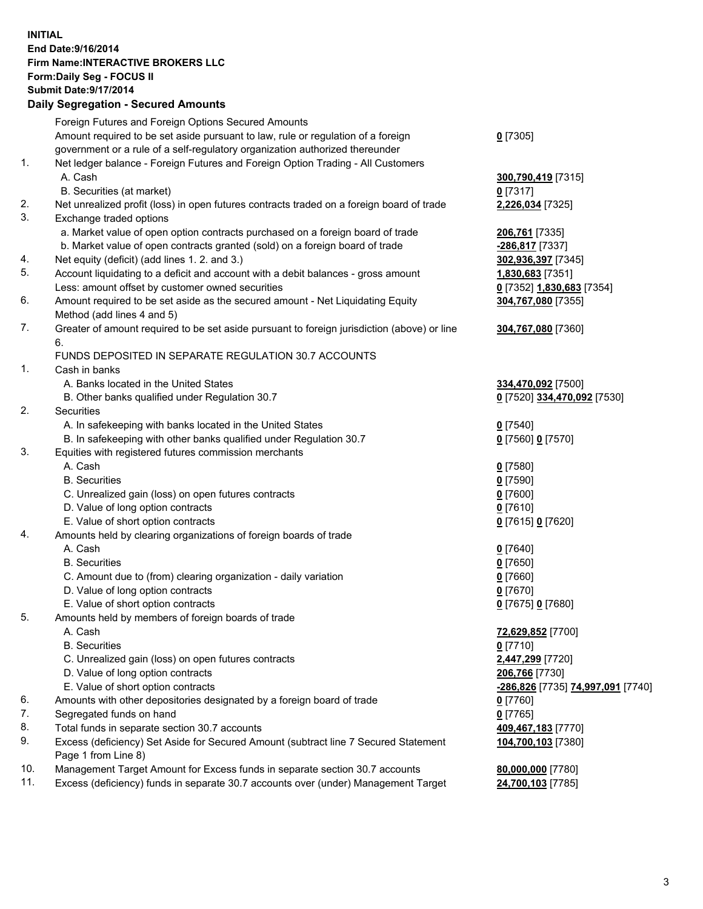## **INITIAL End Date:9/16/2014 Firm Name:INTERACTIVE BROKERS LLC Form:Daily Seg - FOCUS II Submit Date:9/17/2014 Daily Segregation - Secured Amounts**

|                | Daily Jegregation - Jeculed Aniounts                                                                       |                                   |
|----------------|------------------------------------------------------------------------------------------------------------|-----------------------------------|
|                | Foreign Futures and Foreign Options Secured Amounts                                                        |                                   |
|                | Amount required to be set aside pursuant to law, rule or regulation of a foreign                           | $0$ [7305]                        |
|                | government or a rule of a self-regulatory organization authorized thereunder                               |                                   |
| 1.             | Net ledger balance - Foreign Futures and Foreign Option Trading - All Customers                            |                                   |
|                | A. Cash                                                                                                    | 300,790,419 [7315]                |
|                | B. Securities (at market)                                                                                  | $0$ [7317]                        |
| 2.             | Net unrealized profit (loss) in open futures contracts traded on a foreign board of trade                  | 2,226,034 [7325]                  |
| 3.             | Exchange traded options                                                                                    |                                   |
|                | a. Market value of open option contracts purchased on a foreign board of trade                             | 206,761 [7335]                    |
|                | b. Market value of open contracts granted (sold) on a foreign board of trade                               | -286,817 [7337]                   |
| 4.             | Net equity (deficit) (add lines 1.2. and 3.)                                                               | 302,936,397 [7345]                |
| 5.             | Account liquidating to a deficit and account with a debit balances - gross amount                          | 1,830,683 [7351]                  |
|                | Less: amount offset by customer owned securities                                                           | 0 [7352] 1,830,683 [7354]         |
| 6.             | Amount required to be set aside as the secured amount - Net Liquidating Equity                             | 304,767,080 [7355]                |
|                | Method (add lines 4 and 5)                                                                                 |                                   |
| 7.             | Greater of amount required to be set aside pursuant to foreign jurisdiction (above) or line                | 304,767,080 [7360]                |
|                | 6.                                                                                                         |                                   |
|                | FUNDS DEPOSITED IN SEPARATE REGULATION 30.7 ACCOUNTS                                                       |                                   |
| $\mathbf{1}$ . | Cash in banks                                                                                              |                                   |
|                | A. Banks located in the United States                                                                      | 334,470,092 [7500]                |
|                | B. Other banks qualified under Regulation 30.7                                                             | 0 [7520] 334,470,092 [7530]       |
| 2.             | Securities                                                                                                 |                                   |
|                | A. In safekeeping with banks located in the United States                                                  | $0$ [7540]                        |
|                | B. In safekeeping with other banks qualified under Regulation 30.7                                         | 0 [7560] 0 [7570]                 |
| 3.             | Equities with registered futures commission merchants                                                      |                                   |
|                | A. Cash                                                                                                    | $0$ [7580]                        |
|                | <b>B.</b> Securities                                                                                       | $0$ [7590]                        |
|                | C. Unrealized gain (loss) on open futures contracts                                                        | $0$ [7600]                        |
|                | D. Value of long option contracts                                                                          | $0$ [7610]                        |
|                | E. Value of short option contracts                                                                         | 0 [7615] 0 [7620]                 |
| 4.             | Amounts held by clearing organizations of foreign boards of trade                                          |                                   |
|                | A. Cash                                                                                                    | $0$ [7640]                        |
|                | <b>B.</b> Securities                                                                                       | $0$ [7650]                        |
|                | C. Amount due to (from) clearing organization - daily variation                                            | $0$ [7660]                        |
|                | D. Value of long option contracts                                                                          | $0$ [7670]                        |
|                | E. Value of short option contracts                                                                         | 0 [7675] 0 [7680]                 |
| 5.             | Amounts held by members of foreign boards of trade                                                         |                                   |
|                | A. Cash                                                                                                    | 72,629,852 [7700]                 |
|                | <b>B.</b> Securities                                                                                       | $0$ [7710]                        |
|                | C. Unrealized gain (loss) on open futures contracts                                                        | 2,447,299 [7720]                  |
|                | D. Value of long option contracts                                                                          | 206,766 [7730]                    |
|                | E. Value of short option contracts                                                                         | -286,826 [7735] 74,997,091 [7740] |
| 6.             | Amounts with other depositories designated by a foreign board of trade                                     | $0$ [7760]                        |
| 7.             | Segregated funds on hand                                                                                   | $0$ [7765]                        |
| 8.             | Total funds in separate section 30.7 accounts                                                              | 409,467,183 [7770]                |
| 9.             | Excess (deficiency) Set Aside for Secured Amount (subtract line 7 Secured Statement<br>Page 1 from Line 8) | 104,700,103 [7380]                |
| 10.            | Management Target Amount for Excess funds in separate section 30.7 accounts                                | 80,000,000 [7780]                 |
| 11.            | Excess (deficiency) funds in separate 30.7 accounts over (under) Management Target                         | 24,700,103 [7785]                 |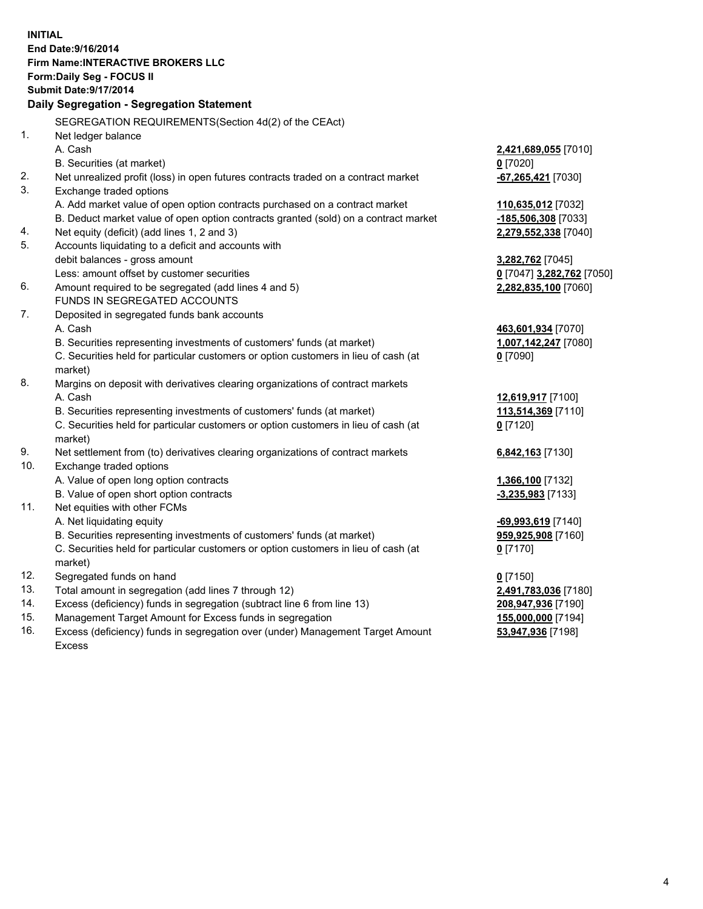**INITIAL End Date:9/16/2014 Firm Name:INTERACTIVE BROKERS LLC Form:Daily Seg - FOCUS II Submit Date:9/17/2014 Daily Segregation - Segregation Statement** SEGREGATION REQUIREMENTS(Section 4d(2) of the CEAct) 1. Net ledger balance A. Cash **2,421,689,055** [7010] B. Securities (at market) **0** [7020] 2. Net unrealized profit (loss) in open futures contracts traded on a contract market **-67,265,421** [7030] 3. Exchange traded options A. Add market value of open option contracts purchased on a contract market **110,635,012** [7032] B. Deduct market value of open option contracts granted (sold) on a contract market **-185,506,308** [7033] 4. Net equity (deficit) (add lines 1, 2 and 3) **2,279,552,338** [7040] 5. Accounts liquidating to a deficit and accounts with debit balances - gross amount **3,282,762** [7045] Less: amount offset by customer securities **0** [7047] **3,282,762** [7050] 6. Amount required to be segregated (add lines 4 and 5) **2,282,835,100** [7060] FUNDS IN SEGREGATED ACCOUNTS 7. Deposited in segregated funds bank accounts A. Cash **463,601,934** [7070] B. Securities representing investments of customers' funds (at market) **1,007,142,247** [7080] C. Securities held for particular customers or option customers in lieu of cash (at market) **0** [7090] 8. Margins on deposit with derivatives clearing organizations of contract markets A. Cash **12,619,917** [7100] B. Securities representing investments of customers' funds (at market) **113,514,369** [7110] C. Securities held for particular customers or option customers in lieu of cash (at market) **0** [7120] 9. Net settlement from (to) derivatives clearing organizations of contract markets **6,842,163** [7130] 10. Exchange traded options A. Value of open long option contracts **1,366,100** [7132] B. Value of open short option contracts **-3,235,983** [7133] 11. Net equities with other FCMs A. Net liquidating equity **-69,993,619** [7140] B. Securities representing investments of customers' funds (at market) **959,925,908** [7160] C. Securities held for particular customers or option customers in lieu of cash (at market) **0** [7170] 12. Segregated funds on hand **0** [7150] 13. Total amount in segregation (add lines 7 through 12) **2,491,783,036** [7180] 14. Excess (deficiency) funds in segregation (subtract line 6 from line 13) **208,947,936** [7190] 15. Management Target Amount for Excess funds in segregation **155,000,000** [7194]

16. Excess (deficiency) funds in segregation over (under) Management Target Amount Excess

**53,947,936** [7198]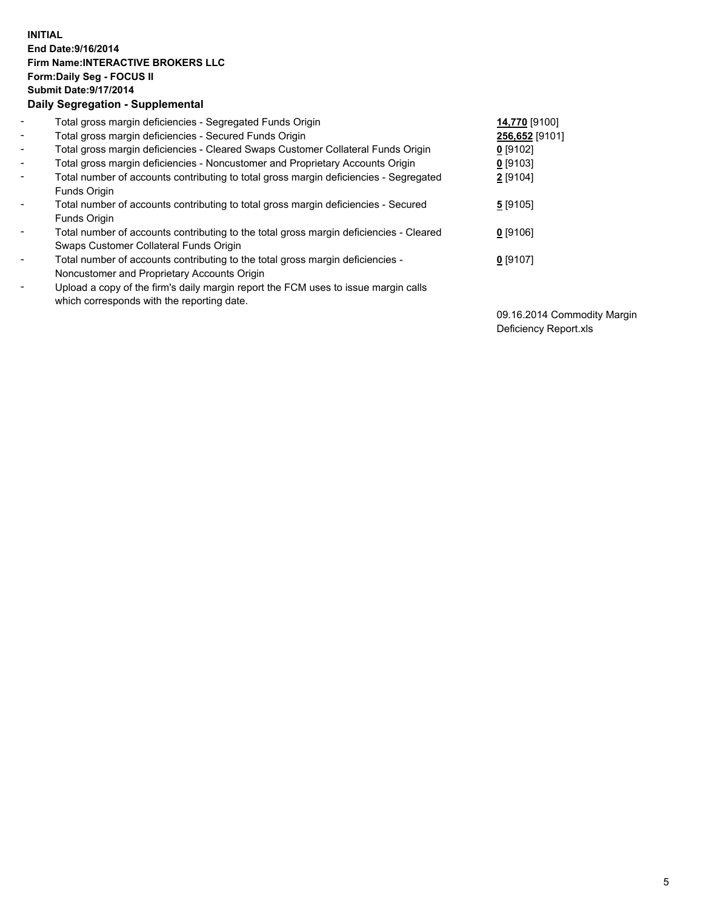## **INITIAL End Date:9/16/2014 Firm Name:INTERACTIVE BROKERS LLC Form:Daily Seg - FOCUS II Submit Date:9/17/2014 Daily Segregation - Supplemental**

| $\blacksquare$           | Total gross margin deficiencies - Segregated Funds Origin                                                                        | 14,770 [9100]  |
|--------------------------|----------------------------------------------------------------------------------------------------------------------------------|----------------|
| $\blacksquare$           | Total gross margin deficiencies - Secured Funds Origin                                                                           | 256,652 [9101] |
| $\blacksquare$           | Total gross margin deficiencies - Cleared Swaps Customer Collateral Funds Origin                                                 | $0$ [9102]     |
| $\blacksquare$           | Total gross margin deficiencies - Noncustomer and Proprietary Accounts Origin                                                    | $0$ [9103]     |
| $\blacksquare$           | Total number of accounts contributing to total gross margin deficiencies - Segregated<br>Funds Origin                            | 2 [9104]       |
| $\blacksquare$           | Total number of accounts contributing to total gross margin deficiencies - Secured<br><b>Funds Origin</b>                        | 5[9105]        |
| $\overline{\phantom{a}}$ | Total number of accounts contributing to the total gross margin deficiencies - Cleared<br>Swaps Customer Collateral Funds Origin | $0$ [9106]     |
| -                        | Total number of accounts contributing to the total gross margin deficiencies -<br>Noncustomer and Proprietary Accounts Origin    | $0$ [9107]     |
| $\blacksquare$           | Upload a copy of the firm's daily margin report the FCM uses to issue margin calls<br>which corresponds with the reporting date. |                |

09.16.2014 Commodity Margin Deficiency Report.xls